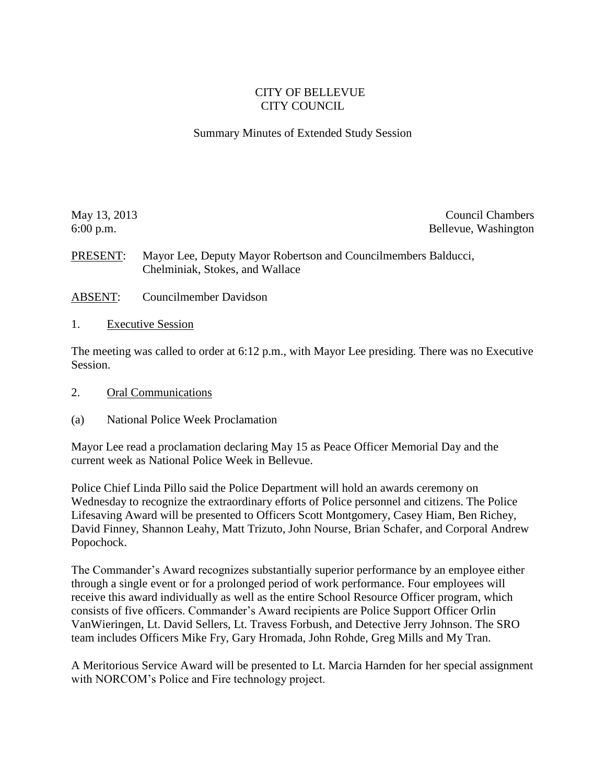#### CITY OF BELLEVUE CITY COUNCIL

#### Summary Minutes of Extended Study Session

May 13, 2013 Council Chambers 6:00 p.m. Bellevue, Washington

PRESENT: Mayor Lee, Deputy Mayor Robertson and Councilmembers Balducci, Chelminiak, Stokes, and Wallace

- ABSENT: Councilmember Davidson
- 1. Executive Session

The meeting was called to order at 6:12 p.m., with Mayor Lee presiding. There was no Executive Session.

- 2. Oral Communications
- (a) National Police Week Proclamation

Mayor Lee read a proclamation declaring May 15 as Peace Officer Memorial Day and the current week as National Police Week in Bellevue.

Police Chief Linda Pillo said the Police Department will hold an awards ceremony on Wednesday to recognize the extraordinary efforts of Police personnel and citizens. The Police Lifesaving Award will be presented to Officers Scott Montgomery, Casey Hiam, Ben Richey, David Finney, Shannon Leahy, Matt Trizuto, John Nourse, Brian Schafer, and Corporal Andrew Popochock.

The Commander's Award recognizes substantially superior performance by an employee either through a single event or for a prolonged period of work performance. Four employees will receive this award individually as well as the entire School Resource Officer program, which consists of five officers. Commander's Award recipients are Police Support Officer Orlin VanWieringen, Lt. David Sellers, Lt. Travess Forbush, and Detective Jerry Johnson. The SRO team includes Officers Mike Fry, Gary Hromada, John Rohde, Greg Mills and My Tran.

A Meritorious Service Award will be presented to Lt. Marcia Harnden for her special assignment with NORCOM's Police and Fire technology project.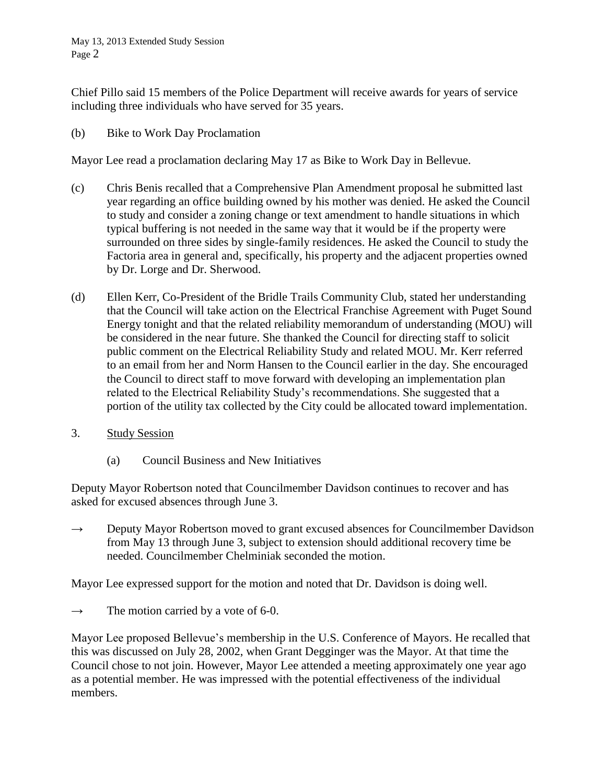Chief Pillo said 15 members of the Police Department will receive awards for years of service including three individuals who have served for 35 years.

(b) Bike to Work Day Proclamation

Mayor Lee read a proclamation declaring May 17 as Bike to Work Day in Bellevue.

- (c) Chris Benis recalled that a Comprehensive Plan Amendment proposal he submitted last year regarding an office building owned by his mother was denied. He asked the Council to study and consider a zoning change or text amendment to handle situations in which typical buffering is not needed in the same way that it would be if the property were surrounded on three sides by single-family residences. He asked the Council to study the Factoria area in general and, specifically, his property and the adjacent properties owned by Dr. Lorge and Dr. Sherwood.
- (d) Ellen Kerr, Co-President of the Bridle Trails Community Club, stated her understanding that the Council will take action on the Electrical Franchise Agreement with Puget Sound Energy tonight and that the related reliability memorandum of understanding (MOU) will be considered in the near future. She thanked the Council for directing staff to solicit public comment on the Electrical Reliability Study and related MOU. Mr. Kerr referred to an email from her and Norm Hansen to the Council earlier in the day. She encouraged the Council to direct staff to move forward with developing an implementation plan related to the Electrical Reliability Study's recommendations. She suggested that a portion of the utility tax collected by the City could be allocated toward implementation.
- 3. Study Session
	- (a) Council Business and New Initiatives

Deputy Mayor Robertson noted that Councilmember Davidson continues to recover and has asked for excused absences through June 3.

 $\rightarrow$  Deputy Mayor Robertson moved to grant excused absences for Councilmember Davidson from May 13 through June 3, subject to extension should additional recovery time be needed. Councilmember Chelminiak seconded the motion.

Mayor Lee expressed support for the motion and noted that Dr. Davidson is doing well.

 $\rightarrow$  The motion carried by a vote of 6-0.

Mayor Lee proposed Bellevue's membership in the U.S. Conference of Mayors. He recalled that this was discussed on July 28, 2002, when Grant Degginger was the Mayor. At that time the Council chose to not join. However, Mayor Lee attended a meeting approximately one year ago as a potential member. He was impressed with the potential effectiveness of the individual members.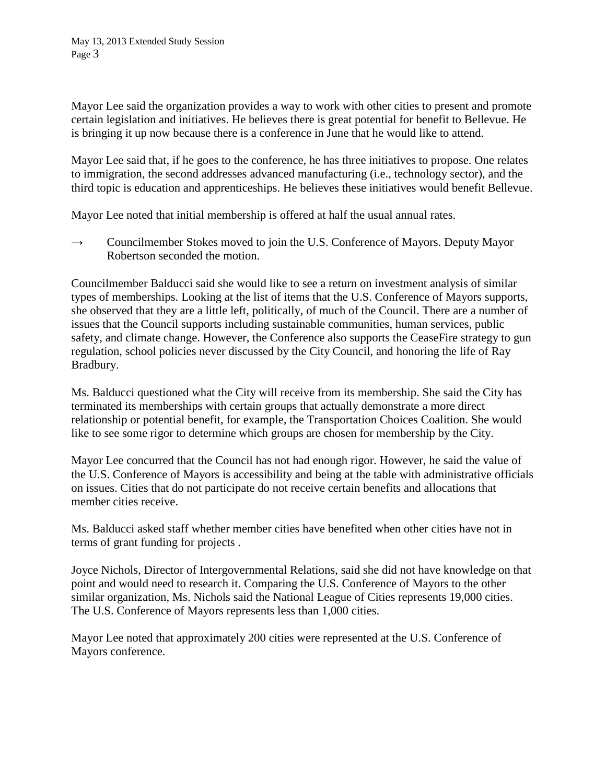Mayor Lee said the organization provides a way to work with other cities to present and promote certain legislation and initiatives. He believes there is great potential for benefit to Bellevue. He is bringing it up now because there is a conference in June that he would like to attend.

Mayor Lee said that, if he goes to the conference, he has three initiatives to propose. One relates to immigration, the second addresses advanced manufacturing (i.e., technology sector), and the third topic is education and apprenticeships. He believes these initiatives would benefit Bellevue.

Mayor Lee noted that initial membership is offered at half the usual annual rates.

 $\rightarrow$  Councilmember Stokes moved to join the U.S. Conference of Mayors. Deputy Mayor Robertson seconded the motion.

Councilmember Balducci said she would like to see a return on investment analysis of similar types of memberships. Looking at the list of items that the U.S. Conference of Mayors supports, she observed that they are a little left, politically, of much of the Council. There are a number of issues that the Council supports including sustainable communities, human services, public safety, and climate change. However, the Conference also supports the CeaseFire strategy to gun regulation, school policies never discussed by the City Council, and honoring the life of Ray Bradbury.

Ms. Balducci questioned what the City will receive from its membership. She said the City has terminated its memberships with certain groups that actually demonstrate a more direct relationship or potential benefit, for example, the Transportation Choices Coalition. She would like to see some rigor to determine which groups are chosen for membership by the City.

Mayor Lee concurred that the Council has not had enough rigor. However, he said the value of the U.S. Conference of Mayors is accessibility and being at the table with administrative officials on issues. Cities that do not participate do not receive certain benefits and allocations that member cities receive.

Ms. Balducci asked staff whether member cities have benefited when other cities have not in terms of grant funding for projects .

Joyce Nichols, Director of Intergovernmental Relations, said she did not have knowledge on that point and would need to research it. Comparing the U.S. Conference of Mayors to the other similar organization, Ms. Nichols said the National League of Cities represents 19,000 cities. The U.S. Conference of Mayors represents less than 1,000 cities.

Mayor Lee noted that approximately 200 cities were represented at the U.S. Conference of Mayors conference.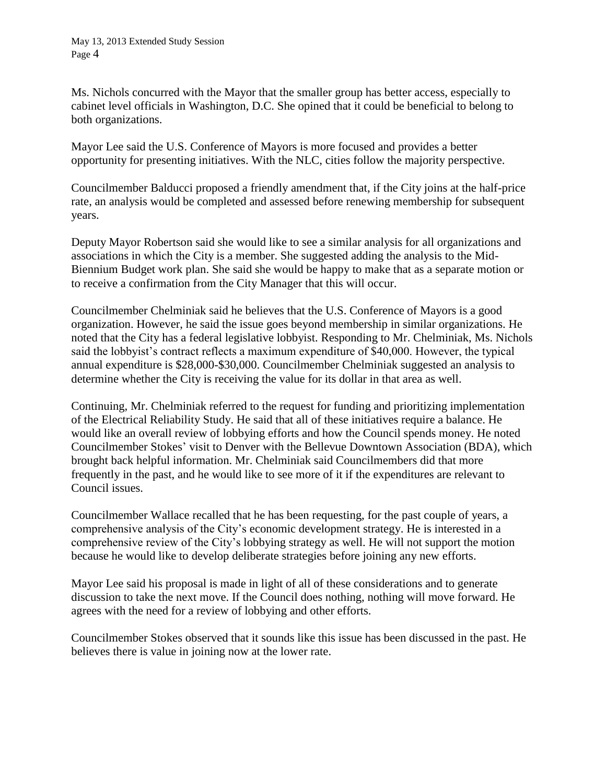Ms. Nichols concurred with the Mayor that the smaller group has better access, especially to cabinet level officials in Washington, D.C. She opined that it could be beneficial to belong to both organizations.

Mayor Lee said the U.S. Conference of Mayors is more focused and provides a better opportunity for presenting initiatives. With the NLC, cities follow the majority perspective.

Councilmember Balducci proposed a friendly amendment that, if the City joins at the half-price rate, an analysis would be completed and assessed before renewing membership for subsequent years.

Deputy Mayor Robertson said she would like to see a similar analysis for all organizations and associations in which the City is a member. She suggested adding the analysis to the Mid-Biennium Budget work plan. She said she would be happy to make that as a separate motion or to receive a confirmation from the City Manager that this will occur.

Councilmember Chelminiak said he believes that the U.S. Conference of Mayors is a good organization. However, he said the issue goes beyond membership in similar organizations. He noted that the City has a federal legislative lobbyist. Responding to Mr. Chelminiak, Ms. Nichols said the lobbyist's contract reflects a maximum expenditure of \$40,000. However, the typical annual expenditure is \$28,000-\$30,000. Councilmember Chelminiak suggested an analysis to determine whether the City is receiving the value for its dollar in that area as well.

Continuing, Mr. Chelminiak referred to the request for funding and prioritizing implementation of the Electrical Reliability Study. He said that all of these initiatives require a balance. He would like an overall review of lobbying efforts and how the Council spends money. He noted Councilmember Stokes' visit to Denver with the Bellevue Downtown Association (BDA), which brought back helpful information. Mr. Chelminiak said Councilmembers did that more frequently in the past, and he would like to see more of it if the expenditures are relevant to Council issues.

Councilmember Wallace recalled that he has been requesting, for the past couple of years, a comprehensive analysis of the City's economic development strategy. He is interested in a comprehensive review of the City's lobbying strategy as well. He will not support the motion because he would like to develop deliberate strategies before joining any new efforts.

Mayor Lee said his proposal is made in light of all of these considerations and to generate discussion to take the next move. If the Council does nothing, nothing will move forward. He agrees with the need for a review of lobbying and other efforts.

Councilmember Stokes observed that it sounds like this issue has been discussed in the past. He believes there is value in joining now at the lower rate.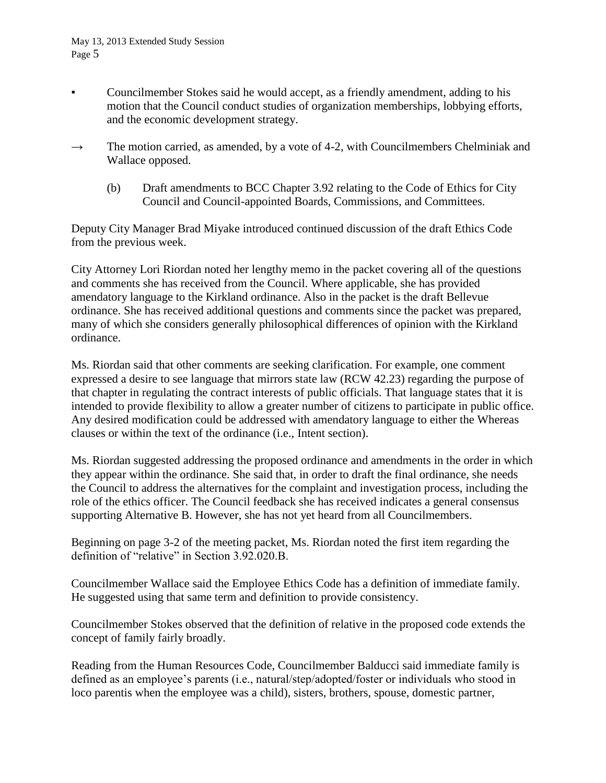- Councilmember Stokes said he would accept, as a friendly amendment, adding to his motion that the Council conduct studies of organization memberships, lobbying efforts, and the economic development strategy.
- $\rightarrow$  The motion carried, as amended, by a vote of 4-2, with Councilmembers Chelminiak and Wallace opposed.
	- (b) Draft amendments to BCC Chapter 3.92 relating to the Code of Ethics for City Council and Council-appointed Boards, Commissions, and Committees.

Deputy City Manager Brad Miyake introduced continued discussion of the draft Ethics Code from the previous week.

City Attorney Lori Riordan noted her lengthy memo in the packet covering all of the questions and comments she has received from the Council. Where applicable, she has provided amendatory language to the Kirkland ordinance. Also in the packet is the draft Bellevue ordinance. She has received additional questions and comments since the packet was prepared, many of which she considers generally philosophical differences of opinion with the Kirkland ordinance.

Ms. Riordan said that other comments are seeking clarification. For example, one comment expressed a desire to see language that mirrors state law (RCW 42.23) regarding the purpose of that chapter in regulating the contract interests of public officials. That language states that it is intended to provide flexibility to allow a greater number of citizens to participate in public office. Any desired modification could be addressed with amendatory language to either the Whereas clauses or within the text of the ordinance (i.e., Intent section).

Ms. Riordan suggested addressing the proposed ordinance and amendments in the order in which they appear within the ordinance. She said that, in order to draft the final ordinance, she needs the Council to address the alternatives for the complaint and investigation process, including the role of the ethics officer. The Council feedback she has received indicates a general consensus supporting Alternative B. However, she has not yet heard from all Councilmembers.

Beginning on page 3-2 of the meeting packet, Ms. Riordan noted the first item regarding the definition of "relative" in Section 3.92.020.B.

Councilmember Wallace said the Employee Ethics Code has a definition of immediate family. He suggested using that same term and definition to provide consistency.

Councilmember Stokes observed that the definition of relative in the proposed code extends the concept of family fairly broadly.

Reading from the Human Resources Code, Councilmember Balducci said immediate family is defined as an employee's parents (i.e., natural/step/adopted/foster or individuals who stood in loco parentis when the employee was a child), sisters, brothers, spouse, domestic partner,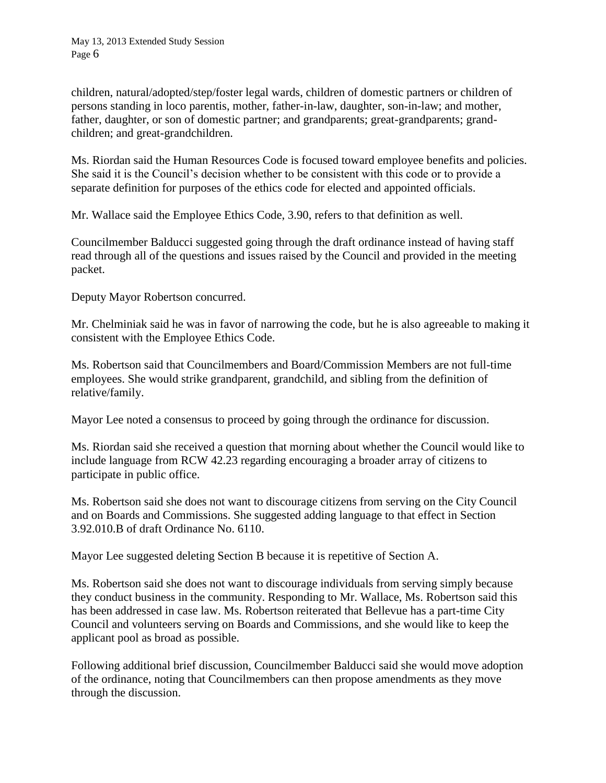children, natural/adopted/step/foster legal wards, children of domestic partners or children of persons standing in loco parentis, mother, father-in-law, daughter, son-in-law; and mother, father, daughter, or son of domestic partner; and grandparents; great-grandparents; grandchildren; and great-grandchildren.

Ms. Riordan said the Human Resources Code is focused toward employee benefits and policies. She said it is the Council's decision whether to be consistent with this code or to provide a separate definition for purposes of the ethics code for elected and appointed officials.

Mr. Wallace said the Employee Ethics Code, 3.90, refers to that definition as well.

Councilmember Balducci suggested going through the draft ordinance instead of having staff read through all of the questions and issues raised by the Council and provided in the meeting packet.

Deputy Mayor Robertson concurred.

Mr. Chelminiak said he was in favor of narrowing the code, but he is also agreeable to making it consistent with the Employee Ethics Code.

Ms. Robertson said that Councilmembers and Board/Commission Members are not full-time employees. She would strike grandparent, grandchild, and sibling from the definition of relative/family.

Mayor Lee noted a consensus to proceed by going through the ordinance for discussion.

Ms. Riordan said she received a question that morning about whether the Council would like to include language from RCW 42.23 regarding encouraging a broader array of citizens to participate in public office.

Ms. Robertson said she does not want to discourage citizens from serving on the City Council and on Boards and Commissions. She suggested adding language to that effect in Section 3.92.010.B of draft Ordinance No. 6110.

Mayor Lee suggested deleting Section B because it is repetitive of Section A.

Ms. Robertson said she does not want to discourage individuals from serving simply because they conduct business in the community. Responding to Mr. Wallace, Ms. Robertson said this has been addressed in case law. Ms. Robertson reiterated that Bellevue has a part-time City Council and volunteers serving on Boards and Commissions, and she would like to keep the applicant pool as broad as possible.

Following additional brief discussion, Councilmember Balducci said she would move adoption of the ordinance, noting that Councilmembers can then propose amendments as they move through the discussion.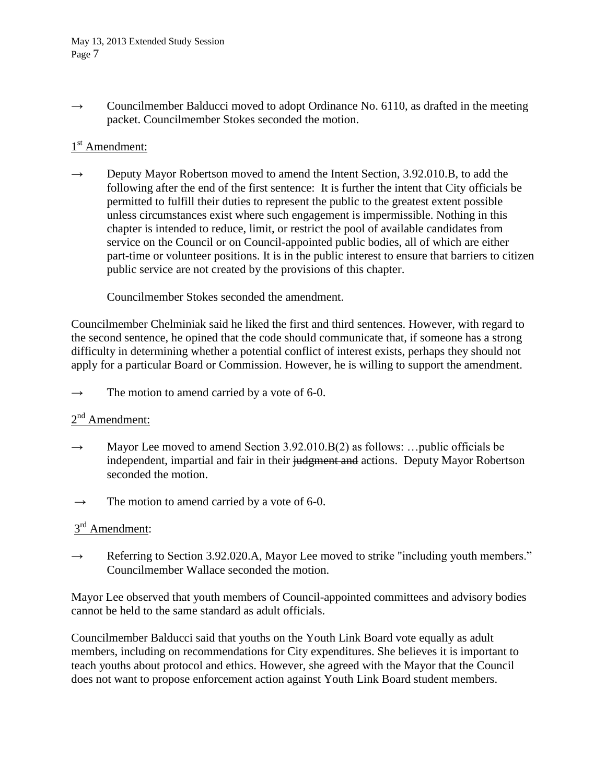$\rightarrow$  Councilmember Balducci moved to adopt Ordinance No. 6110, as drafted in the meeting packet. Councilmember Stokes seconded the motion.

# 1<sup>st</sup> Amendment:

 $\rightarrow$  Deputy Mayor Robertson moved to amend the Intent Section, 3.92.010.B, to add the following after the end of the first sentence: It is further the intent that City officials be permitted to fulfill their duties to represent the public to the greatest extent possible unless circumstances exist where such engagement is impermissible. Nothing in this chapter is intended to reduce, limit, or restrict the pool of available candidates from service on the Council or on Council-appointed public bodies, all of which are either part-time or volunteer positions. It is in the public interest to ensure that barriers to citizen public service are not created by the provisions of this chapter.

Councilmember Stokes seconded the amendment.

Councilmember Chelminiak said he liked the first and third sentences. However, with regard to the second sentence, he opined that the code should communicate that, if someone has a strong difficulty in determining whether a potential conflict of interest exists, perhaps they should not apply for a particular Board or Commission. However, he is willing to support the amendment.

 $\rightarrow$  The motion to amend carried by a vote of 6-0.

### 2<sup>nd</sup> Amendment:

- $\rightarrow$  Mayor Lee moved to amend Section 3.92.010.B(2) as follows: ... public officials be independent, impartial and fair in their judgment and actions. Deputy Mayor Robertson seconded the motion.
- $\rightarrow$  The motion to amend carried by a vote of 6-0.

## 3<sup>rd</sup> Amendment:

 $\rightarrow$  Referring to Section 3.92.020.A, Mayor Lee moved to strike "including youth members." Councilmember Wallace seconded the motion.

Mayor Lee observed that youth members of Council-appointed committees and advisory bodies cannot be held to the same standard as adult officials.

Councilmember Balducci said that youths on the Youth Link Board vote equally as adult members, including on recommendations for City expenditures. She believes it is important to teach youths about protocol and ethics. However, she agreed with the Mayor that the Council does not want to propose enforcement action against Youth Link Board student members.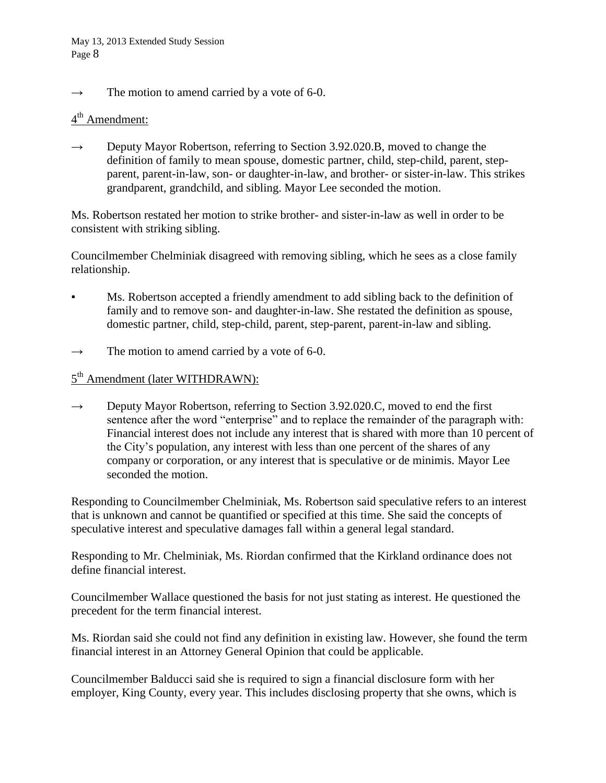$\rightarrow$  The motion to amend carried by a vote of 6-0.

# 4<sup>th</sup> Amendment:

 $\rightarrow$  Deputy Mayor Robertson, referring to Section 3.92.020.B, moved to change the definition of family to mean spouse, domestic partner, child, step-child, parent, stepparent, parent-in-law, son- or daughter-in-law, and brother- or sister-in-law. This strikes grandparent, grandchild, and sibling. Mayor Lee seconded the motion.

Ms. Robertson restated her motion to strike brother- and sister-in-law as well in order to be consistent with striking sibling.

Councilmember Chelminiak disagreed with removing sibling, which he sees as a close family relationship.

- Ms. Robertson accepted a friendly amendment to add sibling back to the definition of family and to remove son- and daughter-in-law. She restated the definition as spouse, domestic partner, child, step-child, parent, step-parent, parent-in-law and sibling.
- $\rightarrow$  The motion to amend carried by a vote of 6-0.

# 5<sup>th</sup> Amendment (later WITHDRAWN):

 $\rightarrow$  Deputy Mayor Robertson, referring to Section 3.92.020.C, moved to end the first sentence after the word "enterprise" and to replace the remainder of the paragraph with: Financial interest does not include any interest that is shared with more than 10 percent of the City's population, any interest with less than one percent of the shares of any company or corporation, or any interest that is speculative or de minimis. Mayor Lee seconded the motion.

Responding to Councilmember Chelminiak, Ms. Robertson said speculative refers to an interest that is unknown and cannot be quantified or specified at this time. She said the concepts of speculative interest and speculative damages fall within a general legal standard.

Responding to Mr. Chelminiak, Ms. Riordan confirmed that the Kirkland ordinance does not define financial interest.

Councilmember Wallace questioned the basis for not just stating as interest. He questioned the precedent for the term financial interest.

Ms. Riordan said she could not find any definition in existing law. However, she found the term financial interest in an Attorney General Opinion that could be applicable.

Councilmember Balducci said she is required to sign a financial disclosure form with her employer, King County, every year. This includes disclosing property that she owns, which is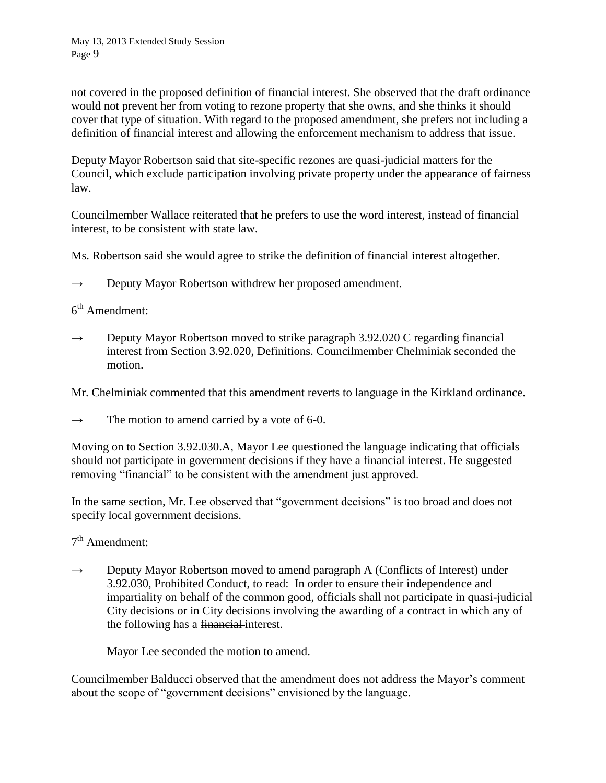not covered in the proposed definition of financial interest. She observed that the draft ordinance would not prevent her from voting to rezone property that she owns, and she thinks it should cover that type of situation. With regard to the proposed amendment, she prefers not including a definition of financial interest and allowing the enforcement mechanism to address that issue.

Deputy Mayor Robertson said that site-specific rezones are quasi-judicial matters for the Council, which exclude participation involving private property under the appearance of fairness law.

Councilmember Wallace reiterated that he prefers to use the word interest, instead of financial interest, to be consistent with state law.

Ms. Robertson said she would agree to strike the definition of financial interest altogether.

 $\rightarrow$  Deputy Mayor Robertson withdrew her proposed amendment.

## 6<sup>th</sup> Amendment:

- $\rightarrow$  Deputy Mayor Robertson moved to strike paragraph 3.92.020 C regarding financial interest from Section 3.92.020, Definitions. Councilmember Chelminiak seconded the motion.
- Mr. Chelminiak commented that this amendment reverts to language in the Kirkland ordinance.
- $\rightarrow$  The motion to amend carried by a vote of 6-0.

Moving on to Section 3.92.030.A, Mayor Lee questioned the language indicating that officials should not participate in government decisions if they have a financial interest. He suggested removing "financial" to be consistent with the amendment just approved.

In the same section, Mr. Lee observed that "government decisions" is too broad and does not specify local government decisions.

## 7<sup>th</sup> Amendment:

 $\rightarrow$  Deputy Mayor Robertson moved to amend paragraph A (Conflicts of Interest) under 3.92.030, Prohibited Conduct, to read: In order to ensure their independence and impartiality on behalf of the common good, officials shall not participate in quasi-judicial City decisions or in City decisions involving the awarding of a contract in which any of the following has a financial-interest.

Mayor Lee seconded the motion to amend.

Councilmember Balducci observed that the amendment does not address the Mayor's comment about the scope of "government decisions" envisioned by the language.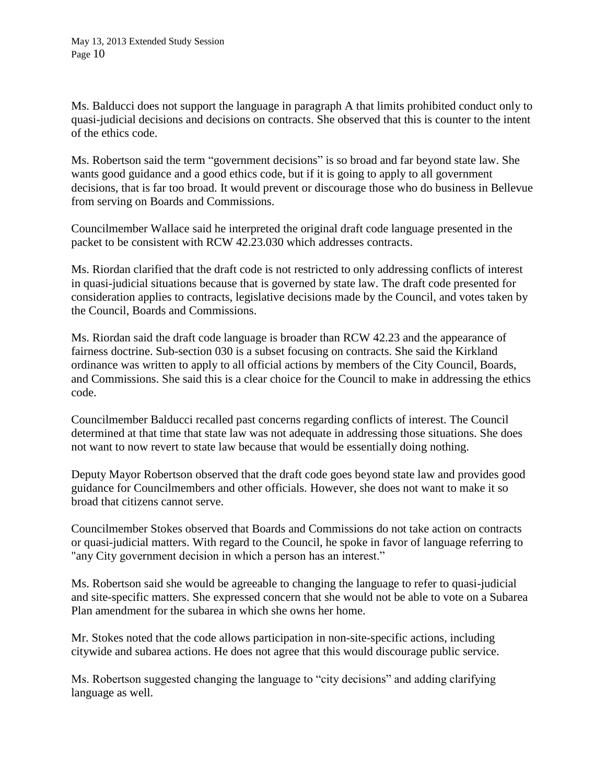Ms. Balducci does not support the language in paragraph A that limits prohibited conduct only to quasi-judicial decisions and decisions on contracts. She observed that this is counter to the intent of the ethics code.

Ms. Robertson said the term "government decisions" is so broad and far beyond state law. She wants good guidance and a good ethics code, but if it is going to apply to all government decisions, that is far too broad. It would prevent or discourage those who do business in Bellevue from serving on Boards and Commissions.

Councilmember Wallace said he interpreted the original draft code language presented in the packet to be consistent with RCW 42.23.030 which addresses contracts.

Ms. Riordan clarified that the draft code is not restricted to only addressing conflicts of interest in quasi-judicial situations because that is governed by state law. The draft code presented for consideration applies to contracts, legislative decisions made by the Council, and votes taken by the Council, Boards and Commissions.

Ms. Riordan said the draft code language is broader than RCW 42.23 and the appearance of fairness doctrine. Sub-section 030 is a subset focusing on contracts. She said the Kirkland ordinance was written to apply to all official actions by members of the City Council, Boards, and Commissions. She said this is a clear choice for the Council to make in addressing the ethics code.

Councilmember Balducci recalled past concerns regarding conflicts of interest. The Council determined at that time that state law was not adequate in addressing those situations. She does not want to now revert to state law because that would be essentially doing nothing.

Deputy Mayor Robertson observed that the draft code goes beyond state law and provides good guidance for Councilmembers and other officials. However, she does not want to make it so broad that citizens cannot serve.

Councilmember Stokes observed that Boards and Commissions do not take action on contracts or quasi-judicial matters. With regard to the Council, he spoke in favor of language referring to "any City government decision in which a person has an interest."

Ms. Robertson said she would be agreeable to changing the language to refer to quasi-judicial and site-specific matters. She expressed concern that she would not be able to vote on a Subarea Plan amendment for the subarea in which she owns her home.

Mr. Stokes noted that the code allows participation in non-site-specific actions, including citywide and subarea actions. He does not agree that this would discourage public service.

Ms. Robertson suggested changing the language to "city decisions" and adding clarifying language as well.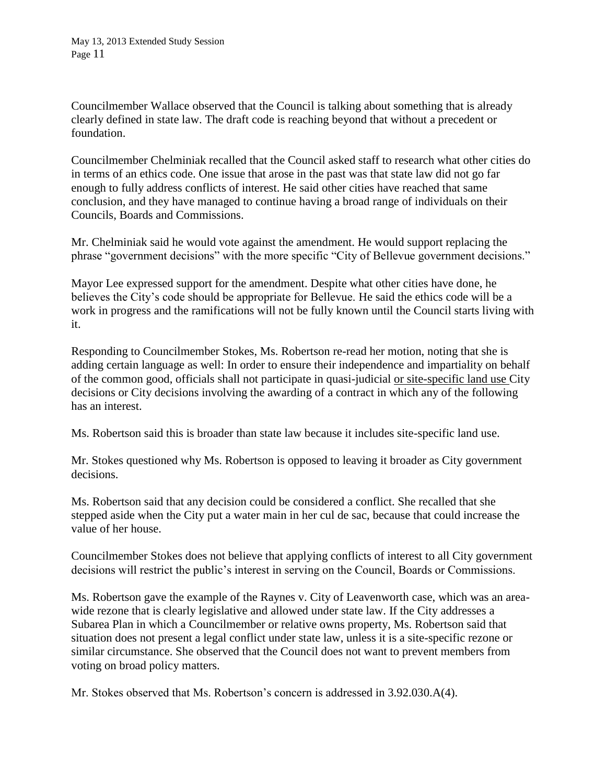Councilmember Wallace observed that the Council is talking about something that is already clearly defined in state law. The draft code is reaching beyond that without a precedent or foundation.

Councilmember Chelminiak recalled that the Council asked staff to research what other cities do in terms of an ethics code. One issue that arose in the past was that state law did not go far enough to fully address conflicts of interest. He said other cities have reached that same conclusion, and they have managed to continue having a broad range of individuals on their Councils, Boards and Commissions.

Mr. Chelminiak said he would vote against the amendment. He would support replacing the phrase "government decisions" with the more specific "City of Bellevue government decisions."

Mayor Lee expressed support for the amendment. Despite what other cities have done, he believes the City's code should be appropriate for Bellevue. He said the ethics code will be a work in progress and the ramifications will not be fully known until the Council starts living with it.

Responding to Councilmember Stokes, Ms. Robertson re-read her motion, noting that she is adding certain language as well: In order to ensure their independence and impartiality on behalf of the common good, officials shall not participate in quasi-judicial or site-specific land use City decisions or City decisions involving the awarding of a contract in which any of the following has an interest.

Ms. Robertson said this is broader than state law because it includes site-specific land use.

Mr. Stokes questioned why Ms. Robertson is opposed to leaving it broader as City government decisions.

Ms. Robertson said that any decision could be considered a conflict. She recalled that she stepped aside when the City put a water main in her cul de sac, because that could increase the value of her house.

Councilmember Stokes does not believe that applying conflicts of interest to all City government decisions will restrict the public's interest in serving on the Council, Boards or Commissions.

Ms. Robertson gave the example of the Raynes v. City of Leavenworth case, which was an areawide rezone that is clearly legislative and allowed under state law. If the City addresses a Subarea Plan in which a Councilmember or relative owns property, Ms. Robertson said that situation does not present a legal conflict under state law, unless it is a site-specific rezone or similar circumstance. She observed that the Council does not want to prevent members from voting on broad policy matters.

Mr. Stokes observed that Ms. Robertson's concern is addressed in 3.92.030.A(4).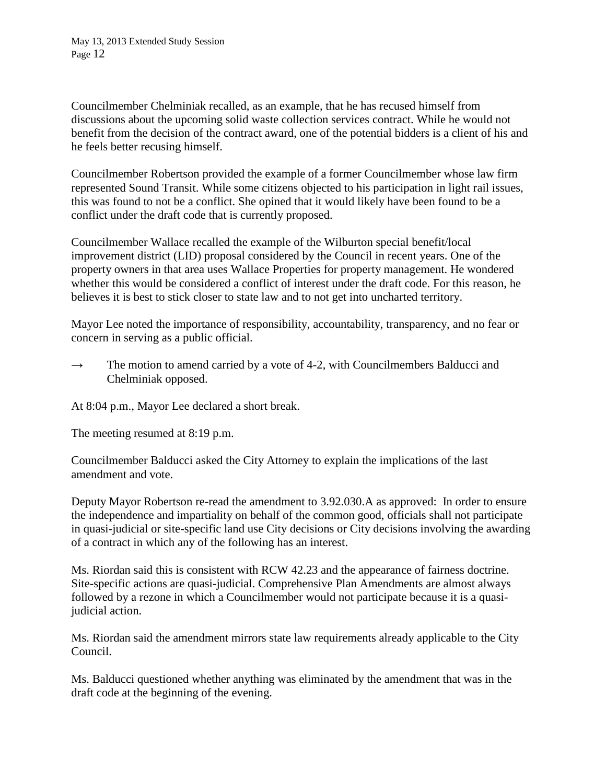Councilmember Chelminiak recalled, as an example, that he has recused himself from discussions about the upcoming solid waste collection services contract. While he would not benefit from the decision of the contract award, one of the potential bidders is a client of his and he feels better recusing himself.

Councilmember Robertson provided the example of a former Councilmember whose law firm represented Sound Transit. While some citizens objected to his participation in light rail issues, this was found to not be a conflict. She opined that it would likely have been found to be a conflict under the draft code that is currently proposed.

Councilmember Wallace recalled the example of the Wilburton special benefit/local improvement district (LID) proposal considered by the Council in recent years. One of the property owners in that area uses Wallace Properties for property management. He wondered whether this would be considered a conflict of interest under the draft code. For this reason, he believes it is best to stick closer to state law and to not get into uncharted territory.

Mayor Lee noted the importance of responsibility, accountability, transparency, and no fear or concern in serving as a public official.

 $\rightarrow$  The motion to amend carried by a vote of 4-2, with Councilmembers Balducci and Chelminiak opposed.

At 8:04 p.m., Mayor Lee declared a short break.

The meeting resumed at 8:19 p.m.

Councilmember Balducci asked the City Attorney to explain the implications of the last amendment and vote.

Deputy Mayor Robertson re-read the amendment to 3.92.030.A as approved: In order to ensure the independence and impartiality on behalf of the common good, officials shall not participate in quasi-judicial or site-specific land use City decisions or City decisions involving the awarding of a contract in which any of the following has an interest.

Ms. Riordan said this is consistent with RCW 42.23 and the appearance of fairness doctrine. Site-specific actions are quasi-judicial. Comprehensive Plan Amendments are almost always followed by a rezone in which a Councilmember would not participate because it is a quasijudicial action.

Ms. Riordan said the amendment mirrors state law requirements already applicable to the City Council.

Ms. Balducci questioned whether anything was eliminated by the amendment that was in the draft code at the beginning of the evening.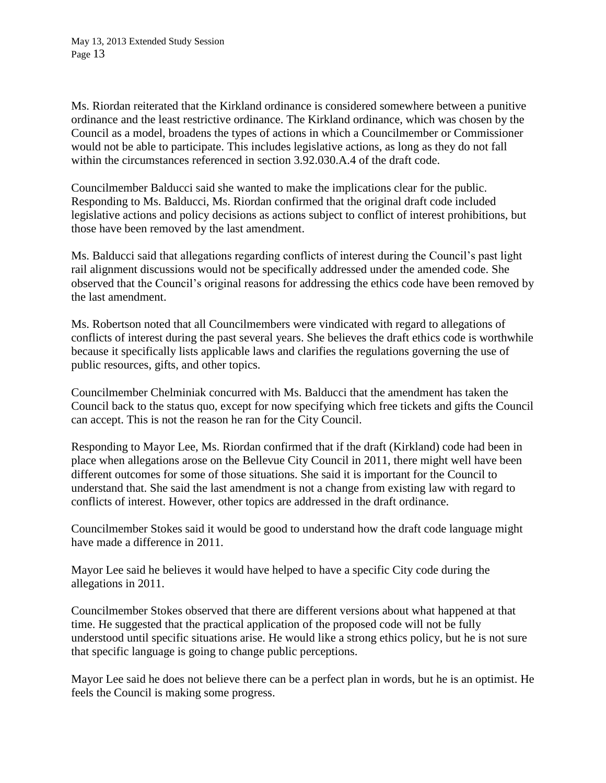Ms. Riordan reiterated that the Kirkland ordinance is considered somewhere between a punitive ordinance and the least restrictive ordinance. The Kirkland ordinance, which was chosen by the Council as a model, broadens the types of actions in which a Councilmember or Commissioner would not be able to participate. This includes legislative actions, as long as they do not fall within the circumstances referenced in section 3.92.030.A.4 of the draft code.

Councilmember Balducci said she wanted to make the implications clear for the public. Responding to Ms. Balducci, Ms. Riordan confirmed that the original draft code included legislative actions and policy decisions as actions subject to conflict of interest prohibitions, but those have been removed by the last amendment.

Ms. Balducci said that allegations regarding conflicts of interest during the Council's past light rail alignment discussions would not be specifically addressed under the amended code. She observed that the Council's original reasons for addressing the ethics code have been removed by the last amendment.

Ms. Robertson noted that all Councilmembers were vindicated with regard to allegations of conflicts of interest during the past several years. She believes the draft ethics code is worthwhile because it specifically lists applicable laws and clarifies the regulations governing the use of public resources, gifts, and other topics.

Councilmember Chelminiak concurred with Ms. Balducci that the amendment has taken the Council back to the status quo, except for now specifying which free tickets and gifts the Council can accept. This is not the reason he ran for the City Council.

Responding to Mayor Lee, Ms. Riordan confirmed that if the draft (Kirkland) code had been in place when allegations arose on the Bellevue City Council in 2011, there might well have been different outcomes for some of those situations. She said it is important for the Council to understand that. She said the last amendment is not a change from existing law with regard to conflicts of interest. However, other topics are addressed in the draft ordinance.

Councilmember Stokes said it would be good to understand how the draft code language might have made a difference in 2011.

Mayor Lee said he believes it would have helped to have a specific City code during the allegations in 2011.

Councilmember Stokes observed that there are different versions about what happened at that time. He suggested that the practical application of the proposed code will not be fully understood until specific situations arise. He would like a strong ethics policy, but he is not sure that specific language is going to change public perceptions.

Mayor Lee said he does not believe there can be a perfect plan in words, but he is an optimist. He feels the Council is making some progress.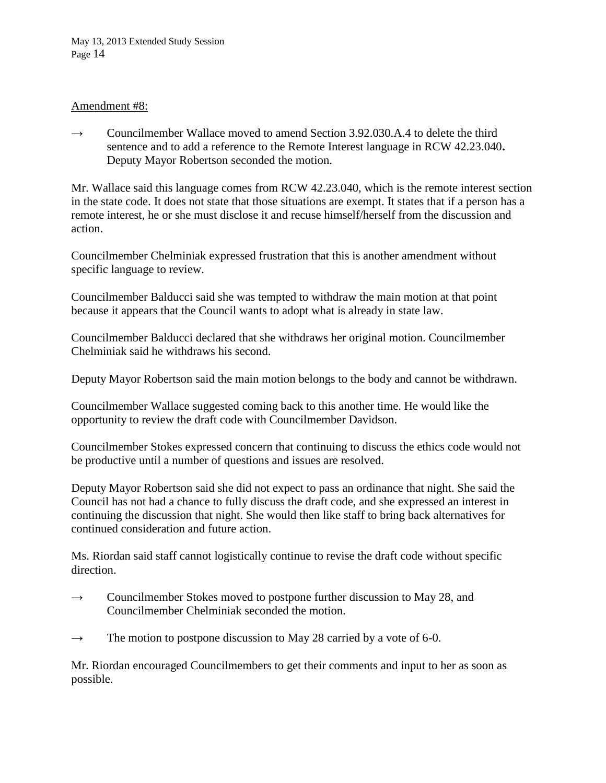#### Amendment #8:

 $\rightarrow$  Councilmember Wallace moved to amend Section 3.92.030.A.4 to delete the third sentence and to add a reference to the Remote Interest language in RCW 42.23.040**.**  Deputy Mayor Robertson seconded the motion.

Mr. Wallace said this language comes from RCW 42.23.040, which is the remote interest section in the state code. It does not state that those situations are exempt. It states that if a person has a remote interest, he or she must disclose it and recuse himself/herself from the discussion and action.

Councilmember Chelminiak expressed frustration that this is another amendment without specific language to review.

Councilmember Balducci said she was tempted to withdraw the main motion at that point because it appears that the Council wants to adopt what is already in state law.

Councilmember Balducci declared that she withdraws her original motion. Councilmember Chelminiak said he withdraws his second.

Deputy Mayor Robertson said the main motion belongs to the body and cannot be withdrawn.

Councilmember Wallace suggested coming back to this another time. He would like the opportunity to review the draft code with Councilmember Davidson.

Councilmember Stokes expressed concern that continuing to discuss the ethics code would not be productive until a number of questions and issues are resolved.

Deputy Mayor Robertson said she did not expect to pass an ordinance that night. She said the Council has not had a chance to fully discuss the draft code, and she expressed an interest in continuing the discussion that night. She would then like staff to bring back alternatives for continued consideration and future action.

Ms. Riordan said staff cannot logistically continue to revise the draft code without specific direction.

- $\rightarrow$  Councilmember Stokes moved to postpone further discussion to May 28, and Councilmember Chelminiak seconded the motion.
- $\rightarrow$  The motion to postpone discussion to May 28 carried by a vote of 6-0.

Mr. Riordan encouraged Councilmembers to get their comments and input to her as soon as possible.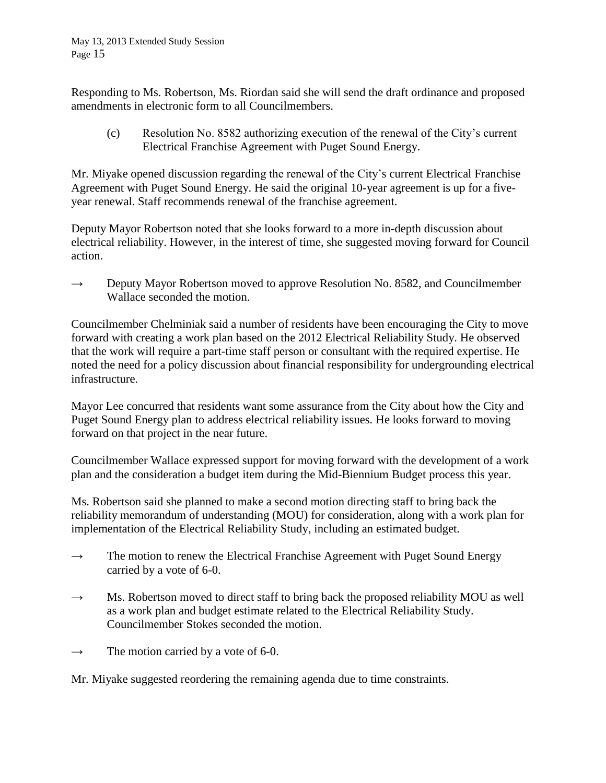Responding to Ms. Robertson, Ms. Riordan said she will send the draft ordinance and proposed amendments in electronic form to all Councilmembers.

(c) Resolution No. 8582 authorizing execution of the renewal of the City's current Electrical Franchise Agreement with Puget Sound Energy.

Mr. Miyake opened discussion regarding the renewal of the City's current Electrical Franchise Agreement with Puget Sound Energy. He said the original 10-year agreement is up for a fiveyear renewal. Staff recommends renewal of the franchise agreement.

Deputy Mayor Robertson noted that she looks forward to a more in-depth discussion about electrical reliability. However, in the interest of time, she suggested moving forward for Council action.

 $\rightarrow$  Deputy Mayor Robertson moved to approve Resolution No. 8582, and Councilmember Wallace seconded the motion.

Councilmember Chelminiak said a number of residents have been encouraging the City to move forward with creating a work plan based on the 2012 Electrical Reliability Study. He observed that the work will require a part-time staff person or consultant with the required expertise. He noted the need for a policy discussion about financial responsibility for undergrounding electrical infrastructure.

Mayor Lee concurred that residents want some assurance from the City about how the City and Puget Sound Energy plan to address electrical reliability issues. He looks forward to moving forward on that project in the near future.

Councilmember Wallace expressed support for moving forward with the development of a work plan and the consideration a budget item during the Mid-Biennium Budget process this year.

Ms. Robertson said she planned to make a second motion directing staff to bring back the reliability memorandum of understanding (MOU) for consideration, along with a work plan for implementation of the Electrical Reliability Study, including an estimated budget.

- $\rightarrow$  The motion to renew the Electrical Franchise Agreement with Puget Sound Energy carried by a vote of 6-0.
- $\rightarrow$  Ms. Robertson moved to direct staff to bring back the proposed reliability MOU as well as a work plan and budget estimate related to the Electrical Reliability Study. Councilmember Stokes seconded the motion.
- $\rightarrow$  The motion carried by a vote of 6-0.

Mr. Miyake suggested reordering the remaining agenda due to time constraints.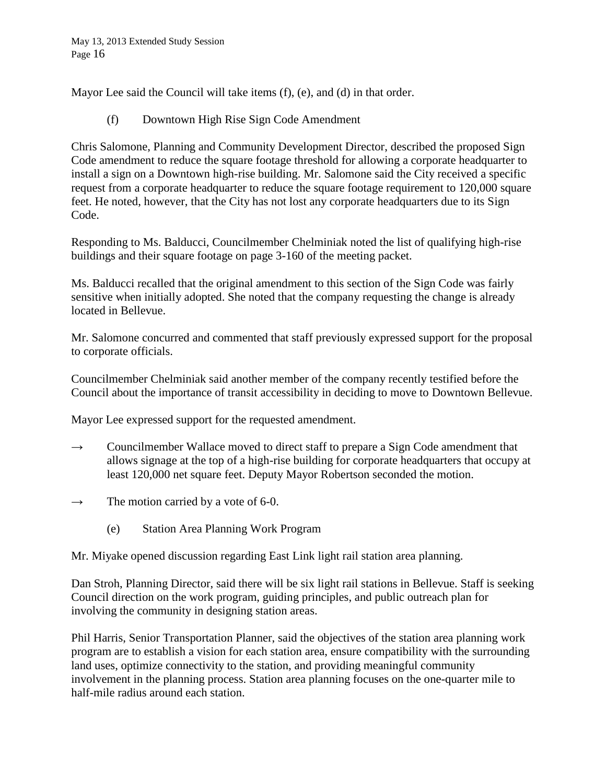Mayor Lee said the Council will take items (f), (e), and (d) in that order.

(f) Downtown High Rise Sign Code Amendment

Chris Salomone, Planning and Community Development Director, described the proposed Sign Code amendment to reduce the square footage threshold for allowing a corporate headquarter to install a sign on a Downtown high-rise building. Mr. Salomone said the City received a specific request from a corporate headquarter to reduce the square footage requirement to 120,000 square feet. He noted, however, that the City has not lost any corporate headquarters due to its Sign Code.

Responding to Ms. Balducci, Councilmember Chelminiak noted the list of qualifying high-rise buildings and their square footage on page 3-160 of the meeting packet.

Ms. Balducci recalled that the original amendment to this section of the Sign Code was fairly sensitive when initially adopted. She noted that the company requesting the change is already located in Bellevue.

Mr. Salomone concurred and commented that staff previously expressed support for the proposal to corporate officials.

Councilmember Chelminiak said another member of the company recently testified before the Council about the importance of transit accessibility in deciding to move to Downtown Bellevue.

Mayor Lee expressed support for the requested amendment.

- $\rightarrow$  Councilmember Wallace moved to direct staff to prepare a Sign Code amendment that allows signage at the top of a high-rise building for corporate headquarters that occupy at least 120,000 net square feet. Deputy Mayor Robertson seconded the motion.
- $\rightarrow$  The motion carried by a vote of 6-0.
	- (e) Station Area Planning Work Program

Mr. Miyake opened discussion regarding East Link light rail station area planning.

Dan Stroh, Planning Director, said there will be six light rail stations in Bellevue. Staff is seeking Council direction on the work program, guiding principles, and public outreach plan for involving the community in designing station areas.

Phil Harris, Senior Transportation Planner, said the objectives of the station area planning work program are to establish a vision for each station area, ensure compatibility with the surrounding land uses, optimize connectivity to the station, and providing meaningful community involvement in the planning process. Station area planning focuses on the one-quarter mile to half-mile radius around each station.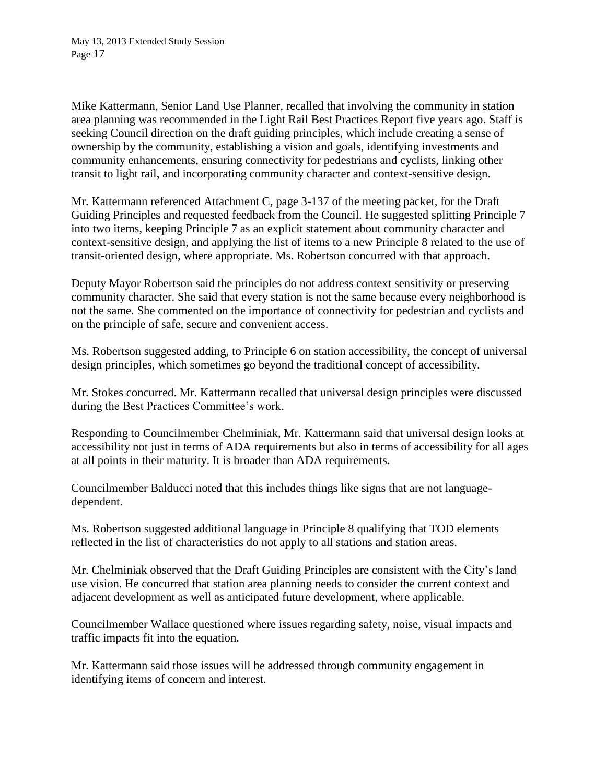Mike Kattermann, Senior Land Use Planner, recalled that involving the community in station area planning was recommended in the Light Rail Best Practices Report five years ago. Staff is seeking Council direction on the draft guiding principles, which include creating a sense of ownership by the community, establishing a vision and goals, identifying investments and community enhancements, ensuring connectivity for pedestrians and cyclists, linking other transit to light rail, and incorporating community character and context-sensitive design.

Mr. Kattermann referenced Attachment C, page 3-137 of the meeting packet, for the Draft Guiding Principles and requested feedback from the Council. He suggested splitting Principle 7 into two items, keeping Principle 7 as an explicit statement about community character and context-sensitive design, and applying the list of items to a new Principle 8 related to the use of transit-oriented design, where appropriate. Ms. Robertson concurred with that approach.

Deputy Mayor Robertson said the principles do not address context sensitivity or preserving community character. She said that every station is not the same because every neighborhood is not the same. She commented on the importance of connectivity for pedestrian and cyclists and on the principle of safe, secure and convenient access.

Ms. Robertson suggested adding, to Principle 6 on station accessibility, the concept of universal design principles, which sometimes go beyond the traditional concept of accessibility.

Mr. Stokes concurred. Mr. Kattermann recalled that universal design principles were discussed during the Best Practices Committee's work.

Responding to Councilmember Chelminiak, Mr. Kattermann said that universal design looks at accessibility not just in terms of ADA requirements but also in terms of accessibility for all ages at all points in their maturity. It is broader than ADA requirements.

Councilmember Balducci noted that this includes things like signs that are not languagedependent.

Ms. Robertson suggested additional language in Principle 8 qualifying that TOD elements reflected in the list of characteristics do not apply to all stations and station areas.

Mr. Chelminiak observed that the Draft Guiding Principles are consistent with the City's land use vision. He concurred that station area planning needs to consider the current context and adjacent development as well as anticipated future development, where applicable.

Councilmember Wallace questioned where issues regarding safety, noise, visual impacts and traffic impacts fit into the equation.

Mr. Kattermann said those issues will be addressed through community engagement in identifying items of concern and interest.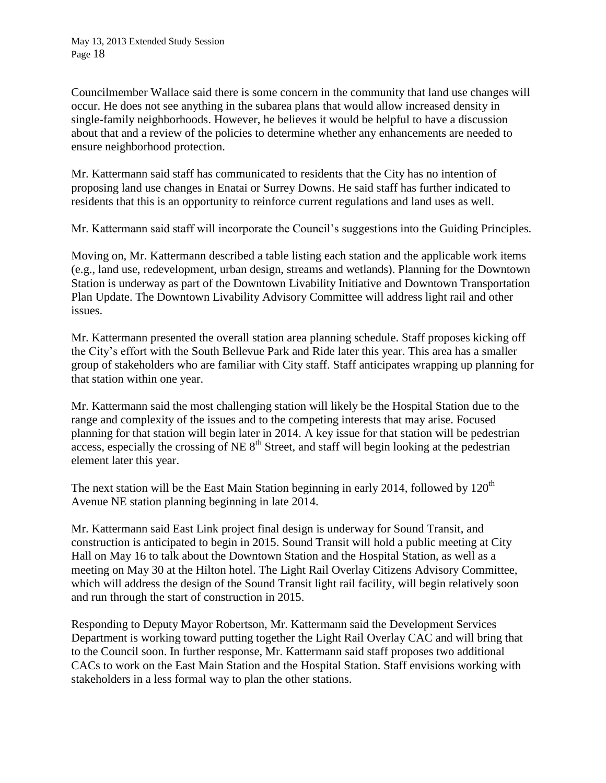Councilmember Wallace said there is some concern in the community that land use changes will occur. He does not see anything in the subarea plans that would allow increased density in single-family neighborhoods. However, he believes it would be helpful to have a discussion about that and a review of the policies to determine whether any enhancements are needed to ensure neighborhood protection.

Mr. Kattermann said staff has communicated to residents that the City has no intention of proposing land use changes in Enatai or Surrey Downs. He said staff has further indicated to residents that this is an opportunity to reinforce current regulations and land uses as well.

Mr. Kattermann said staff will incorporate the Council's suggestions into the Guiding Principles.

Moving on, Mr. Kattermann described a table listing each station and the applicable work items (e.g., land use, redevelopment, urban design, streams and wetlands). Planning for the Downtown Station is underway as part of the Downtown Livability Initiative and Downtown Transportation Plan Update. The Downtown Livability Advisory Committee will address light rail and other issues.

Mr. Kattermann presented the overall station area planning schedule. Staff proposes kicking off the City's effort with the South Bellevue Park and Ride later this year. This area has a smaller group of stakeholders who are familiar with City staff. Staff anticipates wrapping up planning for that station within one year.

Mr. Kattermann said the most challenging station will likely be the Hospital Station due to the range and complexity of the issues and to the competing interests that may arise. Focused planning for that station will begin later in 2014. A key issue for that station will be pedestrian access, especially the crossing of NE  $8<sup>th</sup>$  Street, and staff will begin looking at the pedestrian element later this year.

The next station will be the East Main Station beginning in early 2014, followed by  $120<sup>th</sup>$ Avenue NE station planning beginning in late 2014.

Mr. Kattermann said East Link project final design is underway for Sound Transit, and construction is anticipated to begin in 2015. Sound Transit will hold a public meeting at City Hall on May 16 to talk about the Downtown Station and the Hospital Station, as well as a meeting on May 30 at the Hilton hotel. The Light Rail Overlay Citizens Advisory Committee, which will address the design of the Sound Transit light rail facility, will begin relatively soon and run through the start of construction in 2015.

Responding to Deputy Mayor Robertson, Mr. Kattermann said the Development Services Department is working toward putting together the Light Rail Overlay CAC and will bring that to the Council soon. In further response, Mr. Kattermann said staff proposes two additional CACs to work on the East Main Station and the Hospital Station. Staff envisions working with stakeholders in a less formal way to plan the other stations.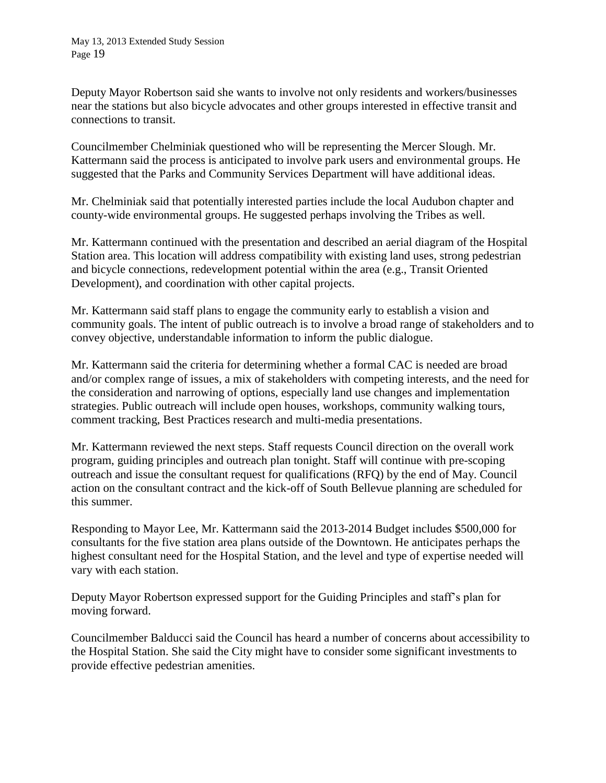Deputy Mayor Robertson said she wants to involve not only residents and workers/businesses near the stations but also bicycle advocates and other groups interested in effective transit and connections to transit.

Councilmember Chelminiak questioned who will be representing the Mercer Slough. Mr. Kattermann said the process is anticipated to involve park users and environmental groups. He suggested that the Parks and Community Services Department will have additional ideas.

Mr. Chelminiak said that potentially interested parties include the local Audubon chapter and county-wide environmental groups. He suggested perhaps involving the Tribes as well.

Mr. Kattermann continued with the presentation and described an aerial diagram of the Hospital Station area. This location will address compatibility with existing land uses, strong pedestrian and bicycle connections, redevelopment potential within the area (e.g., Transit Oriented Development), and coordination with other capital projects.

Mr. Kattermann said staff plans to engage the community early to establish a vision and community goals. The intent of public outreach is to involve a broad range of stakeholders and to convey objective, understandable information to inform the public dialogue.

Mr. Kattermann said the criteria for determining whether a formal CAC is needed are broad and/or complex range of issues, a mix of stakeholders with competing interests, and the need for the consideration and narrowing of options, especially land use changes and implementation strategies. Public outreach will include open houses, workshops, community walking tours, comment tracking, Best Practices research and multi-media presentations.

Mr. Kattermann reviewed the next steps. Staff requests Council direction on the overall work program, guiding principles and outreach plan tonight. Staff will continue with pre-scoping outreach and issue the consultant request for qualifications (RFQ) by the end of May. Council action on the consultant contract and the kick-off of South Bellevue planning are scheduled for this summer.

Responding to Mayor Lee, Mr. Kattermann said the 2013-2014 Budget includes \$500,000 for consultants for the five station area plans outside of the Downtown. He anticipates perhaps the highest consultant need for the Hospital Station, and the level and type of expertise needed will vary with each station.

Deputy Mayor Robertson expressed support for the Guiding Principles and staff's plan for moving forward.

Councilmember Balducci said the Council has heard a number of concerns about accessibility to the Hospital Station. She said the City might have to consider some significant investments to provide effective pedestrian amenities.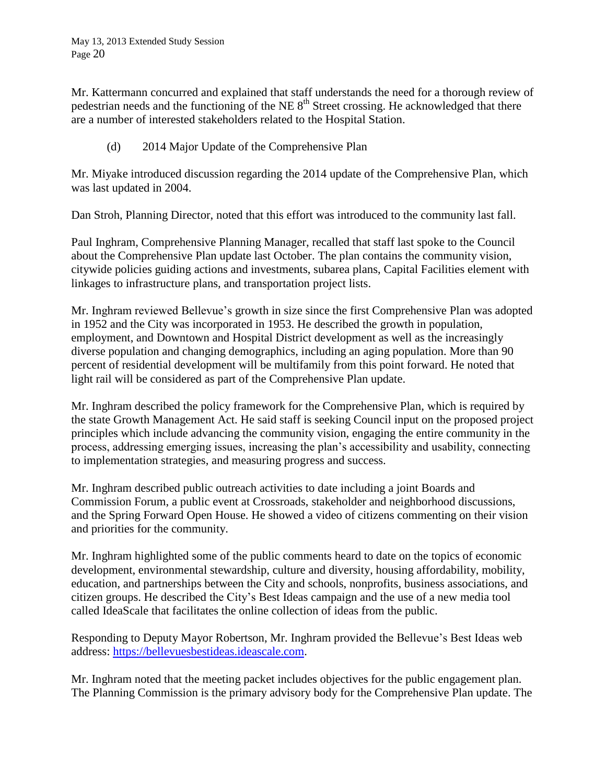Mr. Kattermann concurred and explained that staff understands the need for a thorough review of pedestrian needs and the functioning of the NE  $8<sup>th</sup>$  Street crossing. He acknowledged that there are a number of interested stakeholders related to the Hospital Station.

(d) 2014 Major Update of the Comprehensive Plan

Mr. Miyake introduced discussion regarding the 2014 update of the Comprehensive Plan, which was last updated in 2004.

Dan Stroh, Planning Director, noted that this effort was introduced to the community last fall.

Paul Inghram, Comprehensive Planning Manager, recalled that staff last spoke to the Council about the Comprehensive Plan update last October. The plan contains the community vision, citywide policies guiding actions and investments, subarea plans, Capital Facilities element with linkages to infrastructure plans, and transportation project lists.

Mr. Inghram reviewed Bellevue's growth in size since the first Comprehensive Plan was adopted in 1952 and the City was incorporated in 1953. He described the growth in population, employment, and Downtown and Hospital District development as well as the increasingly diverse population and changing demographics, including an aging population. More than 90 percent of residential development will be multifamily from this point forward. He noted that light rail will be considered as part of the Comprehensive Plan update.

Mr. Inghram described the policy framework for the Comprehensive Plan, which is required by the state Growth Management Act. He said staff is seeking Council input on the proposed project principles which include advancing the community vision, engaging the entire community in the process, addressing emerging issues, increasing the plan's accessibility and usability, connecting to implementation strategies, and measuring progress and success.

Mr. Inghram described public outreach activities to date including a joint Boards and Commission Forum, a public event at Crossroads, stakeholder and neighborhood discussions, and the Spring Forward Open House. He showed a video of citizens commenting on their vision and priorities for the community.

Mr. Inghram highlighted some of the public comments heard to date on the topics of economic development, environmental stewardship, culture and diversity, housing affordability, mobility, education, and partnerships between the City and schools, nonprofits, business associations, and citizen groups. He described the City's Best Ideas campaign and the use of a new media tool called IdeaScale that facilitates the online collection of ideas from the public.

Responding to Deputy Mayor Robertson, Mr. Inghram provided the Bellevue's Best Ideas web address: [https://bellevuesbestideas.ideascale.com.](https://bellevuesbestideas.ideascale.com/)

Mr. Inghram noted that the meeting packet includes objectives for the public engagement plan. The Planning Commission is the primary advisory body for the Comprehensive Plan update. The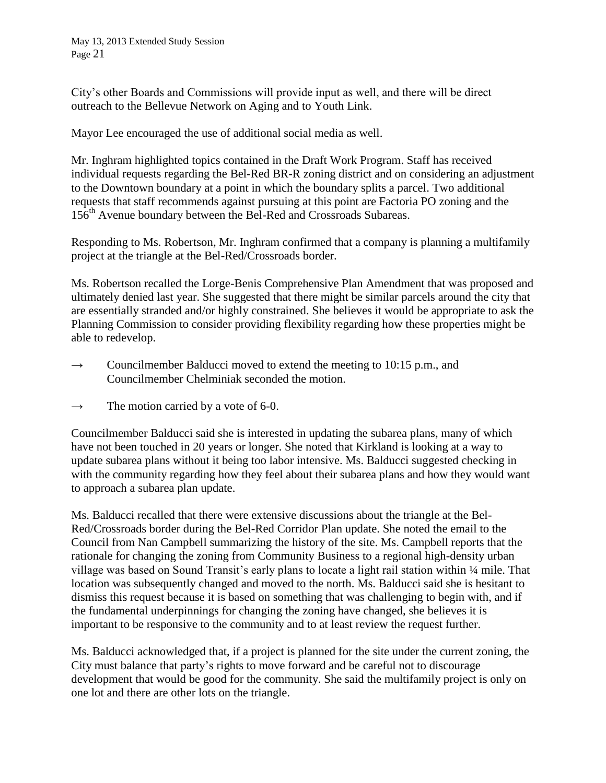May 13, 2013 Extended Study Session Page 21

City's other Boards and Commissions will provide input as well, and there will be direct outreach to the Bellevue Network on Aging and to Youth Link.

Mayor Lee encouraged the use of additional social media as well.

Mr. Inghram highlighted topics contained in the Draft Work Program. Staff has received individual requests regarding the Bel-Red BR-R zoning district and on considering an adjustment to the Downtown boundary at a point in which the boundary splits a parcel. Two additional requests that staff recommends against pursuing at this point are Factoria PO zoning and the 156<sup>th</sup> Avenue boundary between the Bel-Red and Crossroads Subareas.

Responding to Ms. Robertson, Mr. Inghram confirmed that a company is planning a multifamily project at the triangle at the Bel-Red/Crossroads border.

Ms. Robertson recalled the Lorge-Benis Comprehensive Plan Amendment that was proposed and ultimately denied last year. She suggested that there might be similar parcels around the city that are essentially stranded and/or highly constrained. She believes it would be appropriate to ask the Planning Commission to consider providing flexibility regarding how these properties might be able to redevelop.

- $\rightarrow$  Councilmember Balducci moved to extend the meeting to 10:15 p.m., and Councilmember Chelminiak seconded the motion.
- $\rightarrow$  The motion carried by a vote of 6-0.

Councilmember Balducci said she is interested in updating the subarea plans, many of which have not been touched in 20 years or longer. She noted that Kirkland is looking at a way to update subarea plans without it being too labor intensive. Ms. Balducci suggested checking in with the community regarding how they feel about their subarea plans and how they would want to approach a subarea plan update.

Ms. Balducci recalled that there were extensive discussions about the triangle at the Bel-Red/Crossroads border during the Bel-Red Corridor Plan update. She noted the email to the Council from Nan Campbell summarizing the history of the site. Ms. Campbell reports that the rationale for changing the zoning from Community Business to a regional high-density urban village was based on Sound Transit's early plans to locate a light rail station within 1/4 mile. That location was subsequently changed and moved to the north. Ms. Balducci said she is hesitant to dismiss this request because it is based on something that was challenging to begin with, and if the fundamental underpinnings for changing the zoning have changed, she believes it is important to be responsive to the community and to at least review the request further.

Ms. Balducci acknowledged that, if a project is planned for the site under the current zoning, the City must balance that party's rights to move forward and be careful not to discourage development that would be good for the community. She said the multifamily project is only on one lot and there are other lots on the triangle.